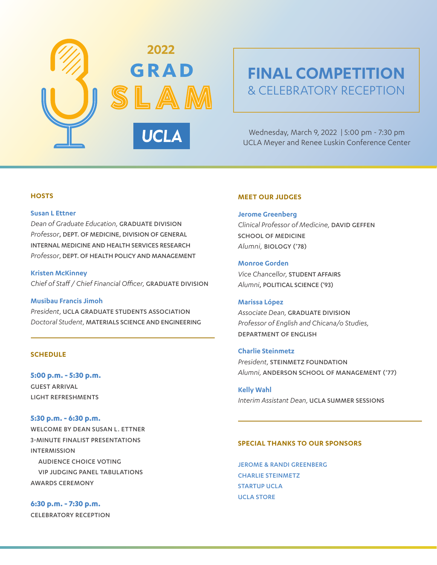

# **FINAL COMPETITION** & CELEBRATORY RECEPTION

Wednesday, March 9, 2022 | 5:00 pm - 7:30 pm UCLA Meyer and Renee Luskin Conference Center

# **HOSTS**

#### **Susan L Ettner**

*Dean of Graduate Education,* GRADUATE DIVISION *Professor*, DEPT. OF MEDICINE, DIVISION OF GENERAL INTERNAL MEDICINE AND HEALTH SERVICES RESEARCH *Professor*, DEPT. OF HEALTH POLICY AND MANAGEMENT

**Kristen McKinney** *Chief of Staff / Chief Financial Officer,* GRADUATE DIVISION

# **Musibau Francis Jimoh**

*President,* UCLA GRADUATE STUDENTS ASSOCIATION *Doctoral Student,* MATERIALS SCIENCE AND ENGINEERING

# **SCHEDULE**

**5:00 p.m. - 5:30 p.m.** GUEST ARRIVAL LIGHT REFRESHMENTS

**5:30 p.m. - 6:30 p.m.** WELCOME BY DEAN SUSAN L. ETTNER 3-MINUTE FINALIST PRESENTATIONS INTERMISSION AUDIENCE CHOICE VOTING VIP JUDGING PANEL TABULATIONS AWARDS CEREMONY

**6:30 p.m. - 7:30 p.m.** CELEBRATORY RECEPTION

## **MEET OUR JUDGES**

#### **Jerome Greenberg**

*Clinical Professor of Medicine,* DAVID GEFFEN SCHOOL OF MEDICINE *Alumni,* BIOLOGY ('78)

# **Monroe Gorden**

*Vice Chancellor,* STUDENT AFFAIRS *Alumni*, POLITICAL SCIENCE ('93)

#### **Marissa López**

*Associate Dean,* GRADUATE DIVISION *Professor of English and Chicana/o Studies,*  DEPARTMENT OF ENGLISH

## **Charlie Steinmetz**

*President,* STEINMETZ FOUNDATION *Alumni,* ANDERSON SCHOOL OF MANAGEMENT ('77)

**Kelly Wahl** *Interim Assistant Dean,* UCLA SUMMER SESSIONS

#### **SPECIAL THANKS TO OUR SPONSORS**

JEROME & RANDI GREENBERG CHARLIE STEINMETZ STARTUP UCLA UCLA STORE